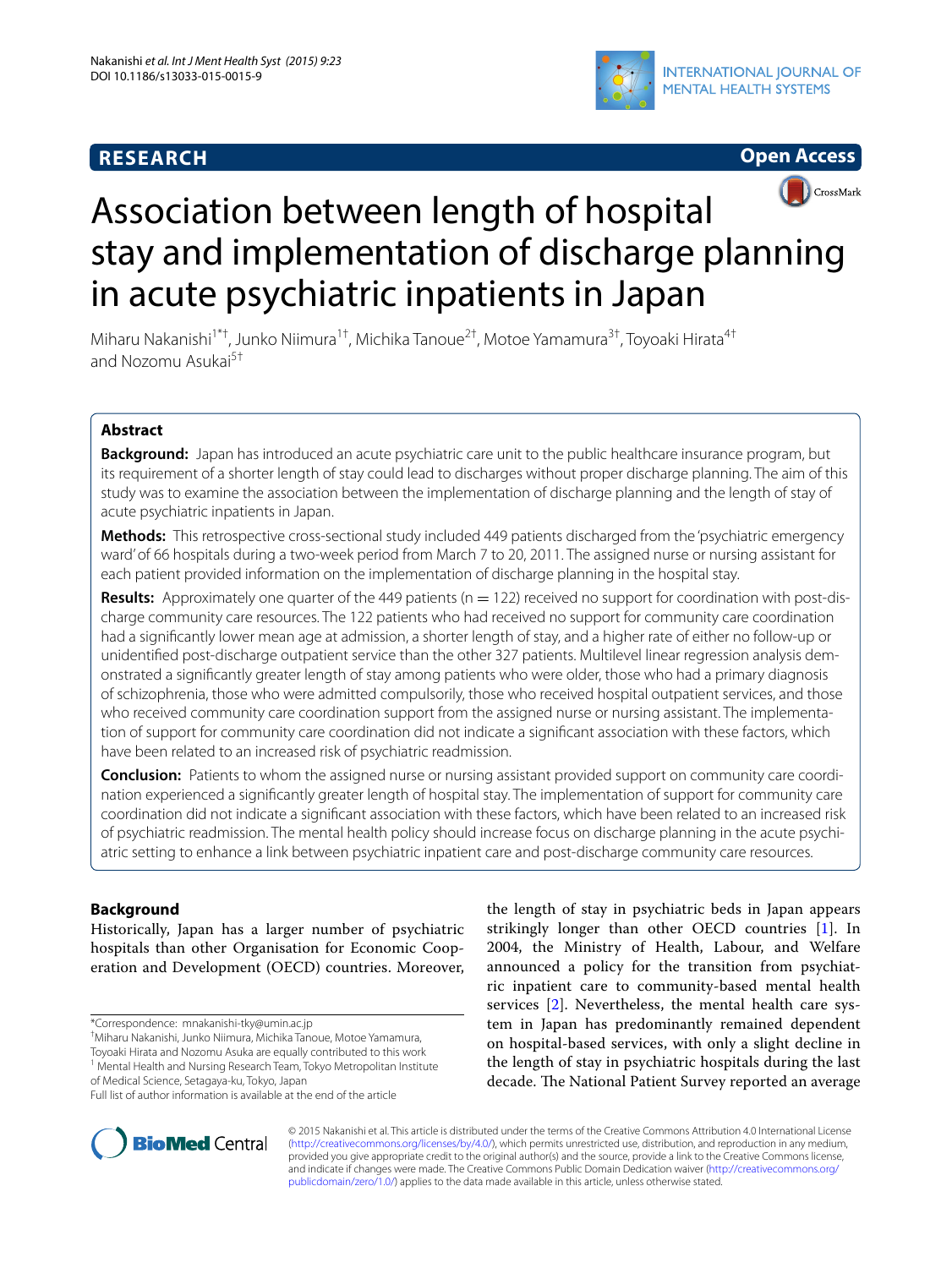## **RESEARCH**





# Association between length of hospital stay and implementation of discharge planning in acute psychiatric inpatients in Japan

Miharu Nakanishi<sup>1\*†</sup>, Junko Niimura<sup>1†</sup>, Michika Tanoue<sup>2†</sup>, Motoe Yamamura<sup>3†</sup>, Toyoaki Hirata<sup>4†</sup> and Nozomu Asukai<sup>5†</sup>

## **Abstract**

**Background:** Japan has introduced an acute psychiatric care unit to the public healthcare insurance program, but its requirement of a shorter length of stay could lead to discharges without proper discharge planning. The aim of this study was to examine the association between the implementation of discharge planning and the length of stay of acute psychiatric inpatients in Japan.

**Methods:** This retrospective cross-sectional study included 449 patients discharged from the 'psychiatric emergency ward' of 66 hospitals during a two-week period from March 7 to 20, 2011. The assigned nurse or nursing assistant for each patient provided information on the implementation of discharge planning in the hospital stay.

**Results:** Approximately one quarter of the 449 patients ( $n = 122$ ) received no support for coordination with post-discharge community care resources. The 122 patients who had received no support for community care coordination had a significantly lower mean age at admission, a shorter length of stay, and a higher rate of either no follow-up or unidentified post-discharge outpatient service than the other 327 patients. Multilevel linear regression analysis demonstrated a significantly greater length of stay among patients who were older, those who had a primary diagnosis of schizophrenia, those who were admitted compulsorily, those who received hospital outpatient services, and those who received community care coordination support from the assigned nurse or nursing assistant. The implementation of support for community care coordination did not indicate a significant association with these factors, which have been related to an increased risk of psychiatric readmission.

**Conclusion:** Patients to whom the assigned nurse or nursing assistant provided support on community care coordination experienced a significantly greater length of hospital stay. The implementation of support for community care coordination did not indicate a significant association with these factors, which have been related to an increased risk of psychiatric readmission. The mental health policy should increase focus on discharge planning in the acute psychiatric setting to enhance a link between psychiatric inpatient care and post-discharge community care resources.

## **Background**

Historically, Japan has a larger number of psychiatric hospitals than other Organisation for Economic Cooperation and Development (OECD) countries. Moreover,

\*Correspondence: mnakanishi-tky@umin.ac.jp †

Miharu Nakanishi, Junko Niimura, Michika Tanoue, Motoe Yamamura, Toyoaki Hirata and Nozomu Asuka are equally contributed to this work

of Medical Science, Setagaya-ku, Tokyo, Japan





© 2015 Nakanishi et al. This article is distributed under the terms of the Creative Commons Attribution 4.0 International License [\(http://creativecommons.org/licenses/by/4.0/\)](http://creativecommons.org/licenses/by/4.0/), which permits unrestricted use, distribution, and reproduction in any medium, provided you give appropriate credit to the original author(s) and the source, provide a link to the Creative Commons license, and indicate if changes were made. The Creative Commons Public Domain Dedication waiver ([http://creativecommons.org/](http://creativecommons.org/publicdomain/zero/1.0/) [publicdomain/zero/1.0/](http://creativecommons.org/publicdomain/zero/1.0/)) applies to the data made available in this article, unless otherwise stated.

<sup>&</sup>lt;sup>1</sup> Mental Health and Nursing Research Team, Tokyo Metropolitan Institute

Full list of author information is available at the end of the article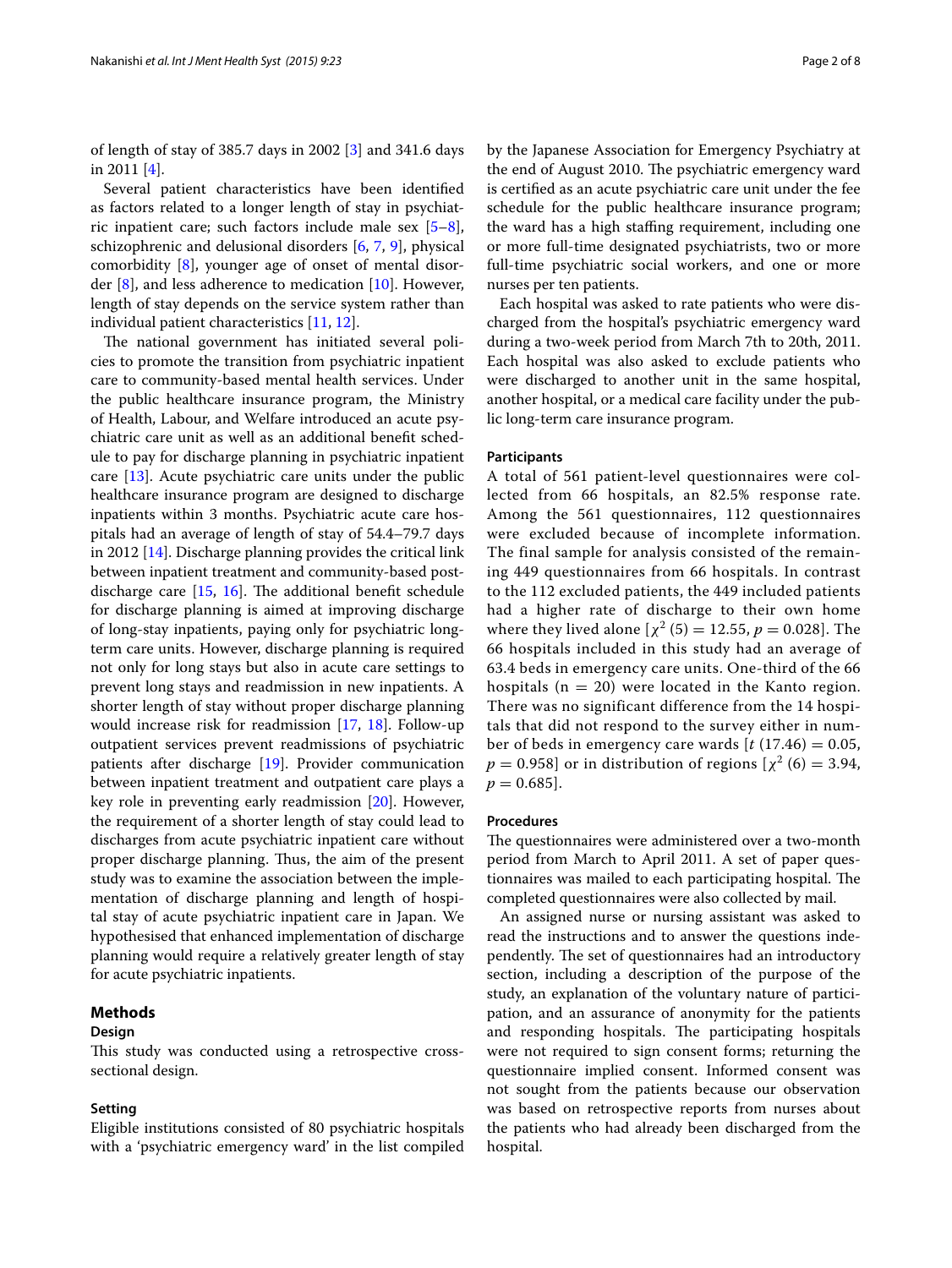of length of stay of 385.7 days in 2002 [[3\]](#page-7-2) and 341.6 days in 2011 [[4\]](#page-7-3).

Several patient characteristics have been identified as factors related to a longer length of stay in psychiatric inpatient care; such factors include male sex [\[5](#page-7-4)[–8](#page-7-5)], schizophrenic and delusional disorders [[6,](#page-7-6) [7,](#page-7-7) [9](#page-7-8)], physical comorbidity [\[8\]](#page-7-5), younger age of onset of mental disorder  $[8]$  $[8]$ , and less adherence to medication  $[10]$  $[10]$ . However, length of stay depends on the service system rather than individual patient characteristics [[11](#page-7-10), [12\]](#page-7-11).

The national government has initiated several policies to promote the transition from psychiatric inpatient care to community-based mental health services. Under the public healthcare insurance program, the Ministry of Health, Labour, and Welfare introduced an acute psychiatric care unit as well as an additional benefit schedule to pay for discharge planning in psychiatric inpatient care [[13](#page-7-12)]. Acute psychiatric care units under the public healthcare insurance program are designed to discharge inpatients within 3 months. Psychiatric acute care hospitals had an average of length of stay of 54.4–79.7 days in 2012 [\[14](#page-7-13)]. Discharge planning provides the critical link between inpatient treatment and community-based postdischarge care [\[15](#page-7-14), [16](#page-7-15)]. The additional benefit schedule for discharge planning is aimed at improving discharge of long-stay inpatients, paying only for psychiatric longterm care units. However, discharge planning is required not only for long stays but also in acute care settings to prevent long stays and readmission in new inpatients. A shorter length of stay without proper discharge planning would increase risk for readmission [\[17,](#page-7-16) [18\]](#page-7-17). Follow-up outpatient services prevent readmissions of psychiatric patients after discharge [\[19](#page-7-18)]. Provider communication between inpatient treatment and outpatient care plays a key role in preventing early readmission [\[20\]](#page-7-19). However, the requirement of a shorter length of stay could lead to discharges from acute psychiatric inpatient care without proper discharge planning. Thus, the aim of the present study was to examine the association between the implementation of discharge planning and length of hospital stay of acute psychiatric inpatient care in Japan. We hypothesised that enhanced implementation of discharge planning would require a relatively greater length of stay for acute psychiatric inpatients.

#### **Methods**

#### **Design**

This study was conducted using a retrospective crosssectional design.

#### **Setting**

Eligible institutions consisted of 80 psychiatric hospitals with a 'psychiatric emergency ward' in the list compiled by the Japanese Association for Emergency Psychiatry at the end of August 2010. The psychiatric emergency ward is certified as an acute psychiatric care unit under the fee schedule for the public healthcare insurance program; the ward has a high staffing requirement, including one or more full-time designated psychiatrists, two or more full-time psychiatric social workers, and one or more nurses per ten patients.

Each hospital was asked to rate patients who were discharged from the hospital's psychiatric emergency ward during a two-week period from March 7th to 20th, 2011. Each hospital was also asked to exclude patients who were discharged to another unit in the same hospital, another hospital, or a medical care facility under the public long-term care insurance program.

## **Participants**

A total of 561 patient-level questionnaires were collected from 66 hospitals, an 82.5% response rate. Among the 561 questionnaires, 112 questionnaires were excluded because of incomplete information. The final sample for analysis consisted of the remaining 449 questionnaires from 66 hospitals. In contrast to the 112 excluded patients, the 449 included patients had a higher rate of discharge to their own home where they lived alone  $[\chi^2(5) = 12.55, p = 0.028]$ . The 66 hospitals included in this study had an average of 63.4 beds in emergency care units. One-third of the 66 hospitals ( $n = 20$ ) were located in the Kanto region. There was no significant difference from the 14 hospitals that did not respond to the survey either in number of beds in emergency care wards  $[t (17.46) = 0.05,$  $p = 0.958$ ] or in distribution of regions  $[\chi^2(6) = 3.94,$  $p = 0.685$ .

## **Procedures**

The questionnaires were administered over a two-month period from March to April 2011. A set of paper questionnaires was mailed to each participating hospital. The completed questionnaires were also collected by mail.

An assigned nurse or nursing assistant was asked to read the instructions and to answer the questions independently. The set of questionnaires had an introductory section, including a description of the purpose of the study, an explanation of the voluntary nature of participation, and an assurance of anonymity for the patients and responding hospitals. The participating hospitals were not required to sign consent forms; returning the questionnaire implied consent. Informed consent was not sought from the patients because our observation was based on retrospective reports from nurses about the patients who had already been discharged from the hospital.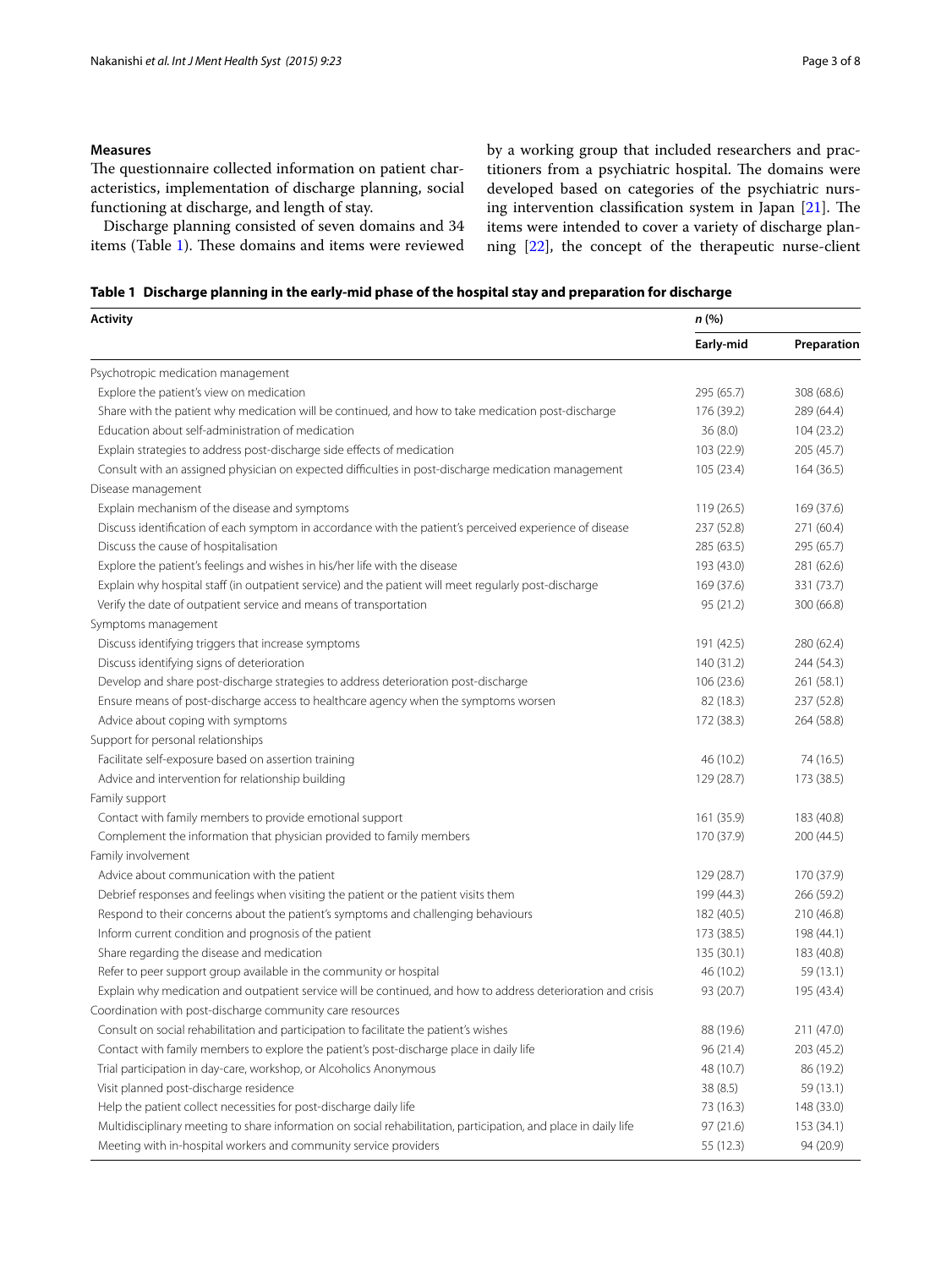The questionnaire collected information on patient characteristics, implementation of discharge planning, social functioning at discharge, and length of stay.

Discharge planning consisted of seven domains and 34 items (Table [1](#page-2-0)). These domains and items were reviewed by a working group that included researchers and practitioners from a psychiatric hospital. The domains were developed based on categories of the psychiatric nursing intervention classification system in Japan [\[21](#page-7-20)]. The items were intended to cover a variety of discharge planning [\[22\]](#page-7-21), the concept of the therapeutic nurse-client

<span id="page-2-0"></span>

|  |  |  |  |  | Table 1   Discharge planning in the early-mid phase of the hospital stay and preparation for discharge |
|--|--|--|--|--|--------------------------------------------------------------------------------------------------------|
|--|--|--|--|--|--------------------------------------------------------------------------------------------------------|

| <b>Activity</b>                                                                                                 |            | n (%)       |  |  |
|-----------------------------------------------------------------------------------------------------------------|------------|-------------|--|--|
|                                                                                                                 | Early-mid  | Preparation |  |  |
| Psychotropic medication management                                                                              |            |             |  |  |
| Explore the patient's view on medication                                                                        | 295 (65.7) | 308 (68.6)  |  |  |
| Share with the patient why medication will be continued, and how to take medication post-discharge              | 176 (39.2) | 289 (64.4)  |  |  |
| Education about self-administration of medication                                                               | 36(8.0)    | 104(23.2)   |  |  |
| Explain strategies to address post-discharge side effects of medication                                         | 103 (22.9) | 205 (45.7)  |  |  |
| Consult with an assigned physician on expected difficulties in post-discharge medication management             | 105 (23.4) | 164 (36.5)  |  |  |
| Disease management                                                                                              |            |             |  |  |
| Explain mechanism of the disease and symptoms                                                                   | 119 (26.5) | 169 (37.6)  |  |  |
| Discuss identification of each symptom in accordance with the patient's perceived experience of disease         | 237 (52.8) | 271 (60.4)  |  |  |
| Discuss the cause of hospitalisation                                                                            | 285 (63.5) | 295 (65.7)  |  |  |
| Explore the patient's feelings and wishes in his/her life with the disease                                      | 193 (43.0) | 281 (62.6)  |  |  |
| Explain why hospital staff (in outpatient service) and the patient will meet regularly post-discharge           | 169 (37.6) | 331 (73.7)  |  |  |
| Verify the date of outpatient service and means of transportation                                               | 95 (21.2)  | 300 (66.8)  |  |  |
| Symptoms management                                                                                             |            |             |  |  |
| Discuss identifying triggers that increase symptoms                                                             | 191 (42.5) | 280 (62.4)  |  |  |
| Discuss identifying signs of deterioration                                                                      | 140 (31.2) | 244 (54.3)  |  |  |
| Develop and share post-discharge strategies to address deterioration post-discharge                             | 106 (23.6) | 261 (58.1)  |  |  |
| Ensure means of post-discharge access to healthcare agency when the symptoms worsen                             | 82 (18.3)  | 237 (52.8)  |  |  |
| Advice about coping with symptoms                                                                               | 172 (38.3) | 264 (58.8)  |  |  |
| Support for personal relationships                                                                              |            |             |  |  |
| Facilitate self-exposure based on assertion training                                                            | 46 (10.2)  | 74 (16.5)   |  |  |
| Advice and intervention for relationship building                                                               | 129 (28.7) | 173 (38.5)  |  |  |
| Family support                                                                                                  |            |             |  |  |
| Contact with family members to provide emotional support                                                        | 161 (35.9) | 183 (40.8)  |  |  |
| Complement the information that physician provided to family members                                            | 170 (37.9) | 200(44.5)   |  |  |
| Family involvement                                                                                              |            |             |  |  |
| Advice about communication with the patient                                                                     | 129 (28.7) | 170 (37.9)  |  |  |
| Debrief responses and feelings when visiting the patient or the patient visits them                             | 199 (44.3) | 266 (59.2)  |  |  |
| Respond to their concerns about the patient's symptoms and challenging behaviours                               | 182 (40.5) | 210 (46.8)  |  |  |
| Inform current condition and prognosis of the patient                                                           | 173 (38.5) | 198 (44.1)  |  |  |
| Share regarding the disease and medication                                                                      | 135 (30.1) | 183 (40.8)  |  |  |
| Refer to peer support group available in the community or hospital                                              | 46 (10.2)  | 59 (13.1)   |  |  |
| Explain why medication and outpatient service will be continued, and how to address deterioration and crisis    | 93 (20.7)  | 195 (43.4)  |  |  |
| Coordination with post-discharge community care resources                                                       |            |             |  |  |
| Consult on social rehabilitation and participation to facilitate the patient's wishes                           | 88 (19.6)  | 211 (47.0)  |  |  |
| Contact with family members to explore the patient's post-discharge place in daily life                         | 96 (21.4)  | 203 (45.2)  |  |  |
| Trial participation in day-care, workshop, or Alcoholics Anonymous                                              | 48 (10.7)  | 86 (19.2)   |  |  |
| Visit planned post-discharge residence                                                                          | 38(8.5)    | 59 (13.1)   |  |  |
| Help the patient collect necessities for post-discharge daily life                                              | 73 (16.3)  | 148 (33.0)  |  |  |
| Multidisciplinary meeting to share information on social rehabilitation, participation, and place in daily life | 97(21.6)   | 153 (34.1)  |  |  |
| Meeting with in-hospital workers and community service providers                                                | 55 (12.3)  | 94 (20.9)   |  |  |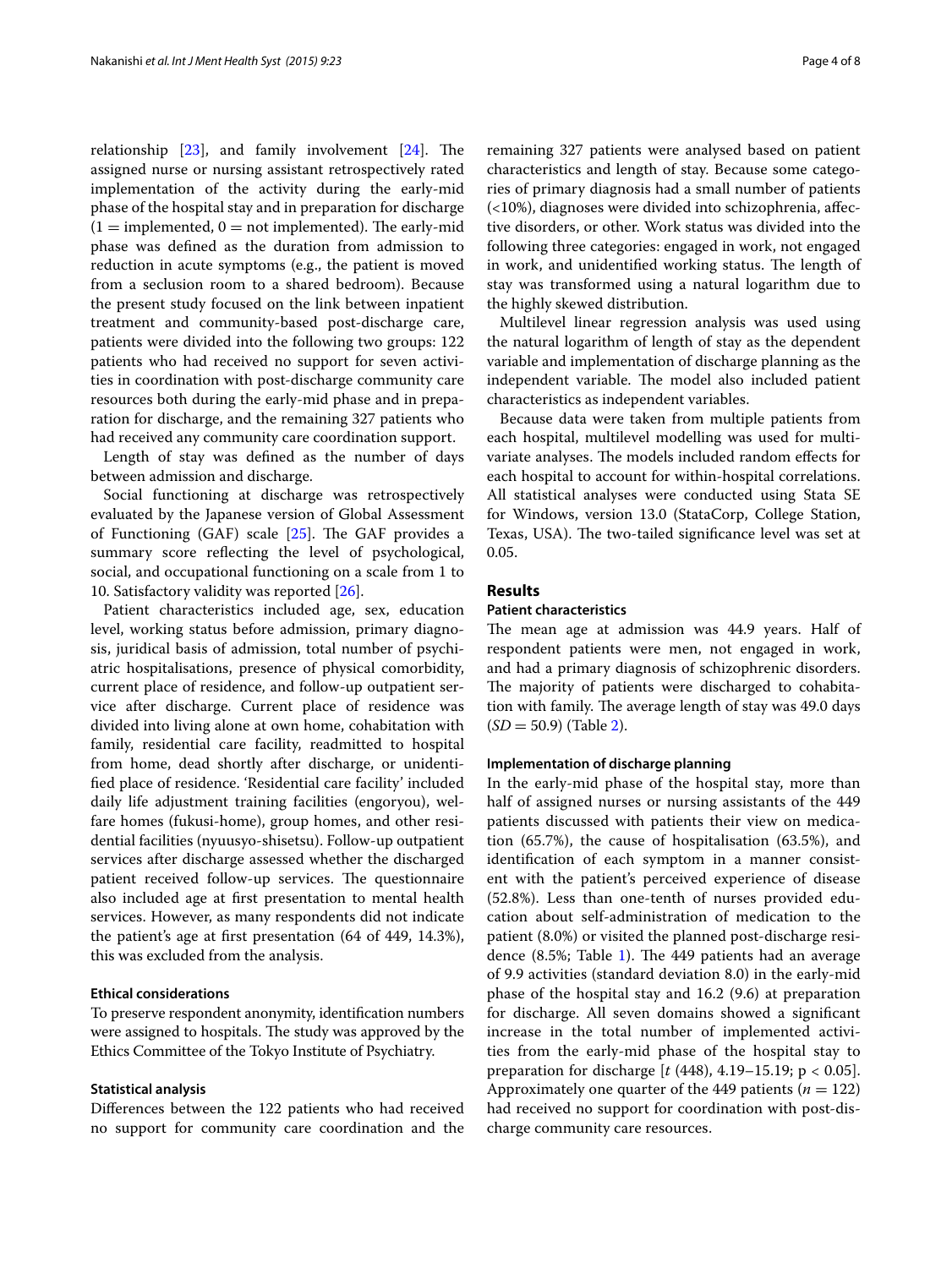relationship [\[23](#page-7-22)], and family involvement [[24\]](#page-7-23). The assigned nurse or nursing assistant retrospectively rated implementation of the activity during the early-mid phase of the hospital stay and in preparation for discharge  $(1 =$  implemented,  $0 =$  not implemented). The early-mid phase was defined as the duration from admission to reduction in acute symptoms (e.g., the patient is moved from a seclusion room to a shared bedroom). Because the present study focused on the link between inpatient treatment and community-based post-discharge care, patients were divided into the following two groups: 122 patients who had received no support for seven activities in coordination with post-discharge community care resources both during the early-mid phase and in preparation for discharge, and the remaining 327 patients who had received any community care coordination support.

Length of stay was defined as the number of days between admission and discharge.

Social functioning at discharge was retrospectively evaluated by the Japanese version of Global Assessment of Functioning (GAF) scale [\[25\]](#page-7-24). The GAF provides a summary score reflecting the level of psychological, social, and occupational functioning on a scale from 1 to 10. Satisfactory validity was reported [[26](#page-7-25)].

Patient characteristics included age, sex, education level, working status before admission, primary diagnosis, juridical basis of admission, total number of psychiatric hospitalisations, presence of physical comorbidity, current place of residence, and follow-up outpatient service after discharge. Current place of residence was divided into living alone at own home, cohabitation with family, residential care facility, readmitted to hospital from home, dead shortly after discharge, or unidentified place of residence. 'Residential care facility' included daily life adjustment training facilities (engoryou), welfare homes (fukusi-home), group homes, and other residential facilities (nyuusyo-shisetsu). Follow-up outpatient services after discharge assessed whether the discharged patient received follow-up services. The questionnaire also included age at first presentation to mental health services. However, as many respondents did not indicate the patient's age at first presentation (64 of 449, 14.3%), this was excluded from the analysis.

#### **Ethical considerations**

To preserve respondent anonymity, identification numbers were assigned to hospitals. The study was approved by the Ethics Committee of the Tokyo Institute of Psychiatry.

#### **Statistical analysis**

Differences between the 122 patients who had received no support for community care coordination and the

remaining 327 patients were analysed based on patient characteristics and length of stay. Because some categories of primary diagnosis had a small number of patients (<10%), diagnoses were divided into schizophrenia, affective disorders, or other. Work status was divided into the following three categories: engaged in work, not engaged in work, and unidentified working status. The length of stay was transformed using a natural logarithm due to the highly skewed distribution.

Multilevel linear regression analysis was used using the natural logarithm of length of stay as the dependent variable and implementation of discharge planning as the independent variable. The model also included patient characteristics as independent variables.

Because data were taken from multiple patients from each hospital, multilevel modelling was used for multivariate analyses. The models included random effects for each hospital to account for within-hospital correlations. All statistical analyses were conducted using Stata SE for Windows, version 13.0 (StataCorp, College Station, Texas, USA). The two-tailed significance level was set at 0.05.

#### **Results**

## **Patient characteristics**

The mean age at admission was 44.9 years. Half of respondent patients were men, not engaged in work, and had a primary diagnosis of schizophrenic disorders. The majority of patients were discharged to cohabitation with family. The average length of stay was 49.0 days (*SD* = 50.9) (Table [2](#page-4-0)).

#### **Implementation of discharge planning**

In the early-mid phase of the hospital stay, more than half of assigned nurses or nursing assistants of the 449 patients discussed with patients their view on medication (65.7%), the cause of hospitalisation (63.5%), and identification of each symptom in a manner consistent with the patient's perceived experience of disease (52.8%). Less than one-tenth of nurses provided education about self-administration of medication to the patient (8.0%) or visited the planned post-discharge residence (8.5%; Table [1\)](#page-2-0). The 449 patients had an average of 9.9 activities (standard deviation 8.0) in the early-mid phase of the hospital stay and 16.2 (9.6) at preparation for discharge. All seven domains showed a significant increase in the total number of implemented activities from the early-mid phase of the hospital stay to preparation for discharge [*t* (448), 4.19–15.19; p < 0.05]. Approximately one quarter of the 449 patients ( $n = 122$ ) had received no support for coordination with post-discharge community care resources.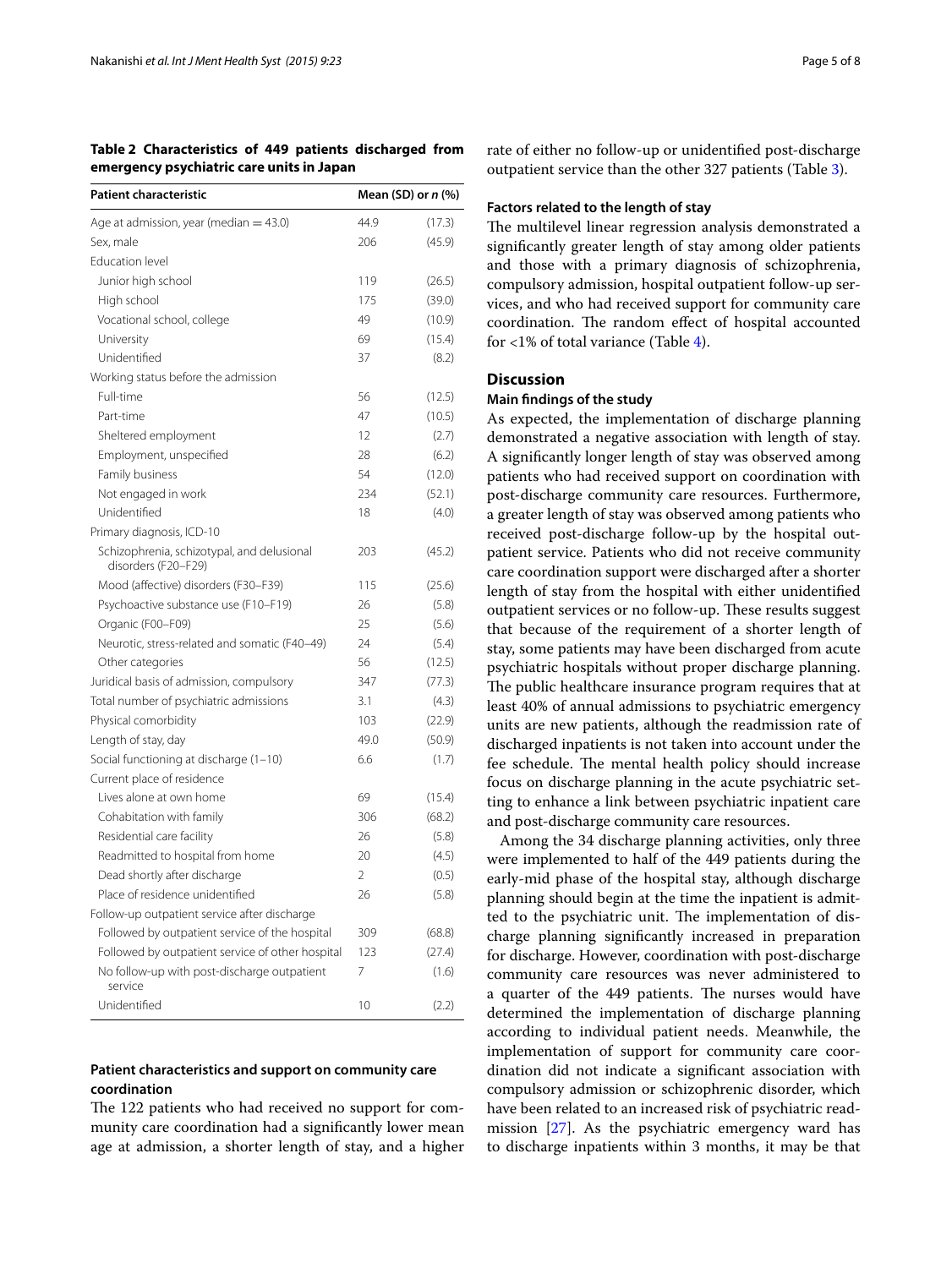<span id="page-4-0"></span>**Table 2 Characteristics of 449 patients discharged from emergency psychiatric care units in Japan**

| <b>Patient characteristic</b>                                     |                | Mean (SD) or $n$ (%) |
|-------------------------------------------------------------------|----------------|----------------------|
| Age at admission, year (median $=$ 43.0)                          | 44.9           | (17.3)               |
| Sex, male                                                         | 206            | (45.9)               |
| <b>Education level</b>                                            |                |                      |
| Junior high school                                                | 119            | (26.5)               |
| High school                                                       | 175            | (39.0)               |
| Vocational school, college                                        | 49             | (10.9)               |
| University                                                        | 69             | (15.4)               |
| Unidentified                                                      | 37             | (8.2)                |
| Working status before the admission                               |                |                      |
| Full-time                                                         | 56             | (12.5)               |
| Part-time                                                         | 47             | (10.5)               |
| Sheltered employment                                              | 12             | (2.7)                |
| Employment, unspecified                                           | 28             | (6.2)                |
| Family business                                                   | 54             | (12.0)               |
| Not engaged in work                                               | 234            | (52.1)               |
| Unidentified                                                      | 18             | (4.0)                |
| Primary diagnosis, ICD-10                                         |                |                      |
| Schizophrenia, schizotypal, and delusional<br>disorders (F20-F29) | 203            | (45.2)               |
| Mood (affective) disorders (F30-F39)                              | 115            | (25.6)               |
| Psychoactive substance use (F10-F19)                              | 26             | (5.8)                |
| Organic (F00-F09)                                                 | 25             | (5.6)                |
| Neurotic, stress-related and somatic (F40-49)                     | 24             | (5.4)                |
| Other categories                                                  | 56             | (12.5)               |
| Juridical basis of admission, compulsory                          | 347            | (77.3)               |
| Total number of psychiatric admissions                            | 3.1            | (4.3)                |
| Physical comorbidity                                              | 103            | (22.9)               |
| Length of stay, day                                               | 49.0           | (50.9)               |
| Social functioning at discharge (1-10)                            | 6.6            | (1.7)                |
| Current place of residence                                        |                |                      |
| Lives alone at own home                                           | 69             | (15.4)               |
| Cohabitation with family                                          | 306            | (68.2)               |
| Residential care facility                                         | 26             | (5.8)                |
| Readmitted to hospital from home                                  | 20             | (4.5)                |
| Dead shortly after discharge                                      | $\overline{2}$ | (0.5)                |
| Place of residence unidentified                                   | 26             | (5.8)                |
| Follow-up outpatient service after discharge                      |                |                      |
| Followed by outpatient service of the hospital                    | 309            | (68.8)               |
| Followed by outpatient service of other hospital                  | 123            | (27.4)               |
| No follow-up with post-discharge outpatient<br>service            | 7              | (1.6)                |
| Unidentified                                                      | 10             | (2.2)                |

## **Patient characteristics and support on community care coordination**

The 122 patients who had received no support for community care coordination had a significantly lower mean age at admission, a shorter length of stay, and a higher rate of either no follow-up or unidentified post-discharge outpatient service than the other 327 patients (Table [3](#page-5-0)).

## **Factors related to the length of stay**

The multilevel linear regression analysis demonstrated a significantly greater length of stay among older patients and those with a primary diagnosis of schizophrenia, compulsory admission, hospital outpatient follow-up services, and who had received support for community care coordination. The random effect of hospital accounted for <1% of total variance (Table [4](#page-6-0)).

## **Discussion**

## **Main findings of the study**

As expected, the implementation of discharge planning demonstrated a negative association with length of stay. A significantly longer length of stay was observed among patients who had received support on coordination with post-discharge community care resources. Furthermore, a greater length of stay was observed among patients who received post-discharge follow-up by the hospital outpatient service. Patients who did not receive community care coordination support were discharged after a shorter length of stay from the hospital with either unidentified outpatient services or no follow-up. These results suggest that because of the requirement of a shorter length of stay, some patients may have been discharged from acute psychiatric hospitals without proper discharge planning. The public healthcare insurance program requires that at least 40% of annual admissions to psychiatric emergency units are new patients, although the readmission rate of discharged inpatients is not taken into account under the fee schedule. The mental health policy should increase focus on discharge planning in the acute psychiatric setting to enhance a link between psychiatric inpatient care and post-discharge community care resources.

Among the 34 discharge planning activities, only three were implemented to half of the 449 patients during the early-mid phase of the hospital stay, although discharge planning should begin at the time the inpatient is admitted to the psychiatric unit. The implementation of discharge planning significantly increased in preparation for discharge. However, coordination with post-discharge community care resources was never administered to a quarter of the 449 patients. The nurses would have determined the implementation of discharge planning according to individual patient needs. Meanwhile, the implementation of support for community care coordination did not indicate a significant association with compulsory admission or schizophrenic disorder, which have been related to an increased risk of psychiatric readmission [[27\]](#page-7-26). As the psychiatric emergency ward has to discharge inpatients within 3 months, it may be that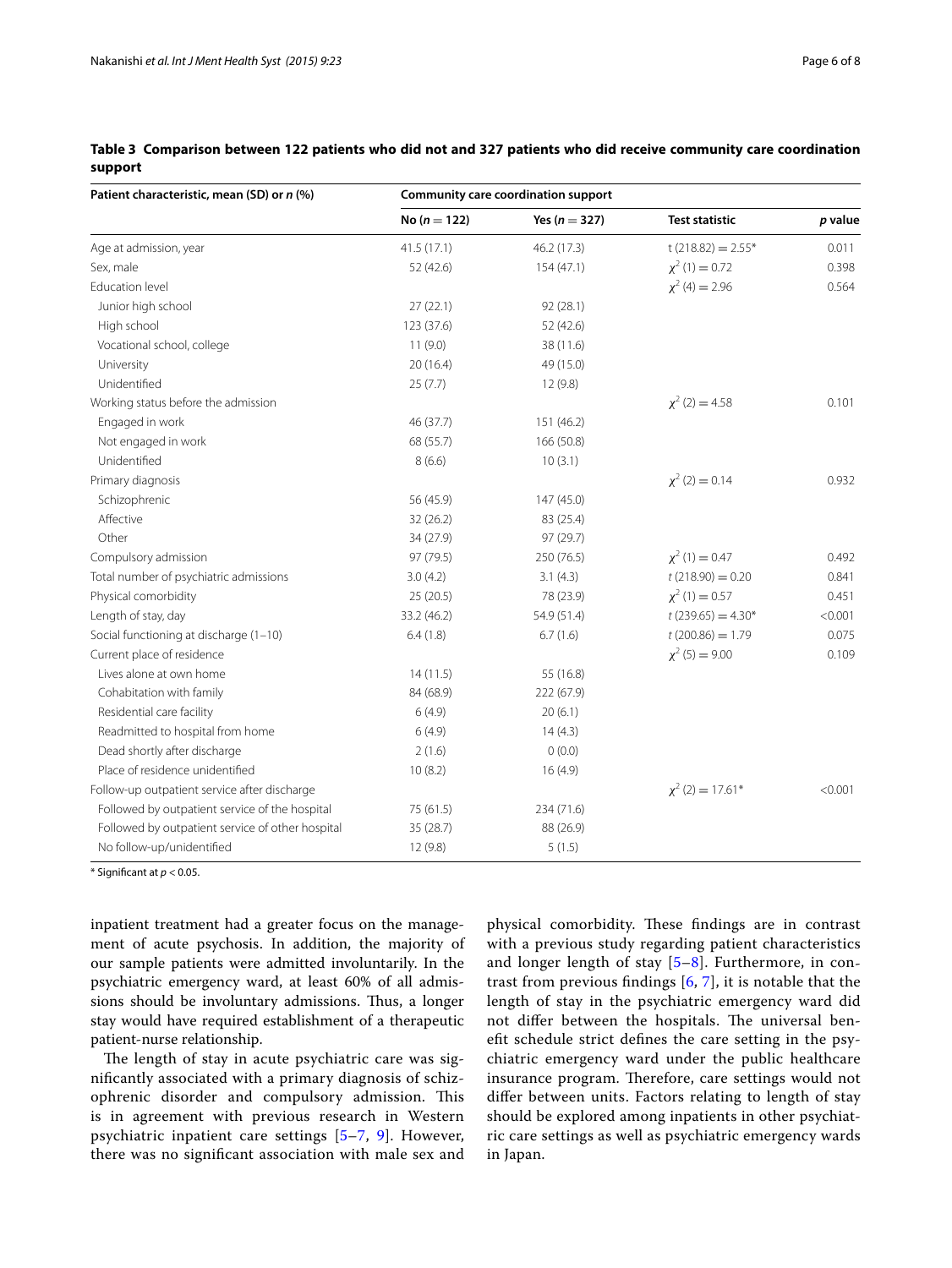| Patient characteristic, mean (SD) or n (%)       | Community care coordination support |                   |                                   |         |  |
|--------------------------------------------------|-------------------------------------|-------------------|-----------------------------------|---------|--|
|                                                  | No ( $n = 122$ )                    | Yes ( $n = 327$ ) | <b>Test statistic</b>             | p value |  |
| Age at admission, year                           | 41.5(17.1)                          | 46.2 (17.3)       | $t(218.82) = 2.55*$               | 0.011   |  |
| Sex, male                                        | 52 (42.6)                           | 154(47.1)         | $\chi^2(1) = 0.72$                | 0.398   |  |
| Education level                                  |                                     |                   | $\chi^2(4) = 2.96$                | 0.564   |  |
| Junior high school                               | 27(22.1)                            | 92 (28.1)         |                                   |         |  |
| High school                                      | 123 (37.6)                          | 52 (42.6)         |                                   |         |  |
| Vocational school, college                       | 11(9.0)                             | 38 (11.6)         |                                   |         |  |
| University                                       | 20 (16.4)                           | 49 (15.0)         |                                   |         |  |
| Unidentified                                     | 25(7.7)                             | 12(9.8)           |                                   |         |  |
| Working status before the admission              |                                     |                   | $\chi^2$ (2) = 4.58               | 0.101   |  |
| Engaged in work                                  | 46 (37.7)                           | 151 (46.2)        |                                   |         |  |
| Not engaged in work                              | 68 (55.7)                           | 166 (50.8)        |                                   |         |  |
| Unidentified                                     | 8(6.6)                              | 10(3.1)           |                                   |         |  |
| Primary diagnosis                                |                                     |                   | $\chi^2$ (2) = 0.14               | 0.932   |  |
| Schizophrenic                                    | 56 (45.9)                           | 147 (45.0)        |                                   |         |  |
| Affective                                        | 32 (26.2)                           | 83 (25.4)         |                                   |         |  |
| Other                                            | 34 (27.9)                           | 97 (29.7)         |                                   |         |  |
| Compulsory admission                             | 97 (79.5)                           | 250 (76.5)        | $\chi^2(1) = 0.47$                | 0.492   |  |
| Total number of psychiatric admissions           | 3.0(4.2)                            | 3.1(4.3)          | $t(218.90) = 0.20$                | 0.841   |  |
| Physical comorbidity                             | 25(20.5)                            | 78 (23.9)         | $\chi^2$ (1) = 0.57               | 0.451   |  |
| Length of stay, day                              | 33.2 (46.2)                         | 54.9 (51.4)       | $t(239.65) = 4.30*$               | < 0.001 |  |
| Social functioning at discharge (1-10)           | 6.4(1.8)                            | 6.7(1.6)          | $t(200.86) = 1.79$                | 0.075   |  |
| Current place of residence                       |                                     |                   | $\chi^2$ (5) = 9.00               | 0.109   |  |
| Lives alone at own home                          | 14(11.5)                            | 55 (16.8)         |                                   |         |  |
| Cohabitation with family                         | 84 (68.9)                           | 222 (67.9)        |                                   |         |  |
| Residential care facility                        | 6(4.9)                              | 20(6.1)           |                                   |         |  |
| Readmitted to hospital from home                 | 6(4.9)                              | 14(4.3)           |                                   |         |  |
| Dead shortly after discharge                     | 2(1.6)                              | 0(0.0)            |                                   |         |  |
| Place of residence unidentified                  | 10(8.2)                             | 16(4.9)           |                                   |         |  |
| Follow-up outpatient service after discharge     |                                     |                   | $\chi^2$ (2) = 17.61 <sup>*</sup> | < 0.001 |  |
| Followed by outpatient service of the hospital   | 75 (61.5)                           | 234 (71.6)        |                                   |         |  |
| Followed by outpatient service of other hospital | 35 (28.7)                           | 88 (26.9)         |                                   |         |  |
| No follow-up/unidentified                        | 12(9.8)                             | 5(1.5)            |                                   |         |  |

<span id="page-5-0"></span>**Table 3 Comparison between 122 patients who did not and 327 patients who did receive community care coordination support**

\* Significant at *p* < 0.05.

inpatient treatment had a greater focus on the management of acute psychosis. In addition, the majority of our sample patients were admitted involuntarily. In the psychiatric emergency ward, at least 60% of all admissions should be involuntary admissions. Thus, a longer stay would have required establishment of a therapeutic patient-nurse relationship.

The length of stay in acute psychiatric care was significantly associated with a primary diagnosis of schizophrenic disorder and compulsory admission. This is in agreement with previous research in Western psychiatric inpatient care settings [[5–](#page-7-4)[7,](#page-7-7) [9\]](#page-7-8). However, there was no significant association with male sex and physical comorbidity. These findings are in contrast with a previous study regarding patient characteristics and longer length of stay  $[5-8]$  $[5-8]$  $[5-8]$ . Furthermore, in contrast from previous findings  $[6, 7]$  $[6, 7]$  $[6, 7]$ , it is notable that the length of stay in the psychiatric emergency ward did not differ between the hospitals. The universal benefit schedule strict defines the care setting in the psychiatric emergency ward under the public healthcare insurance program. Therefore, care settings would not differ between units. Factors relating to length of stay should be explored among inpatients in other psychiatric care settings as well as psychiatric emergency wards in Japan.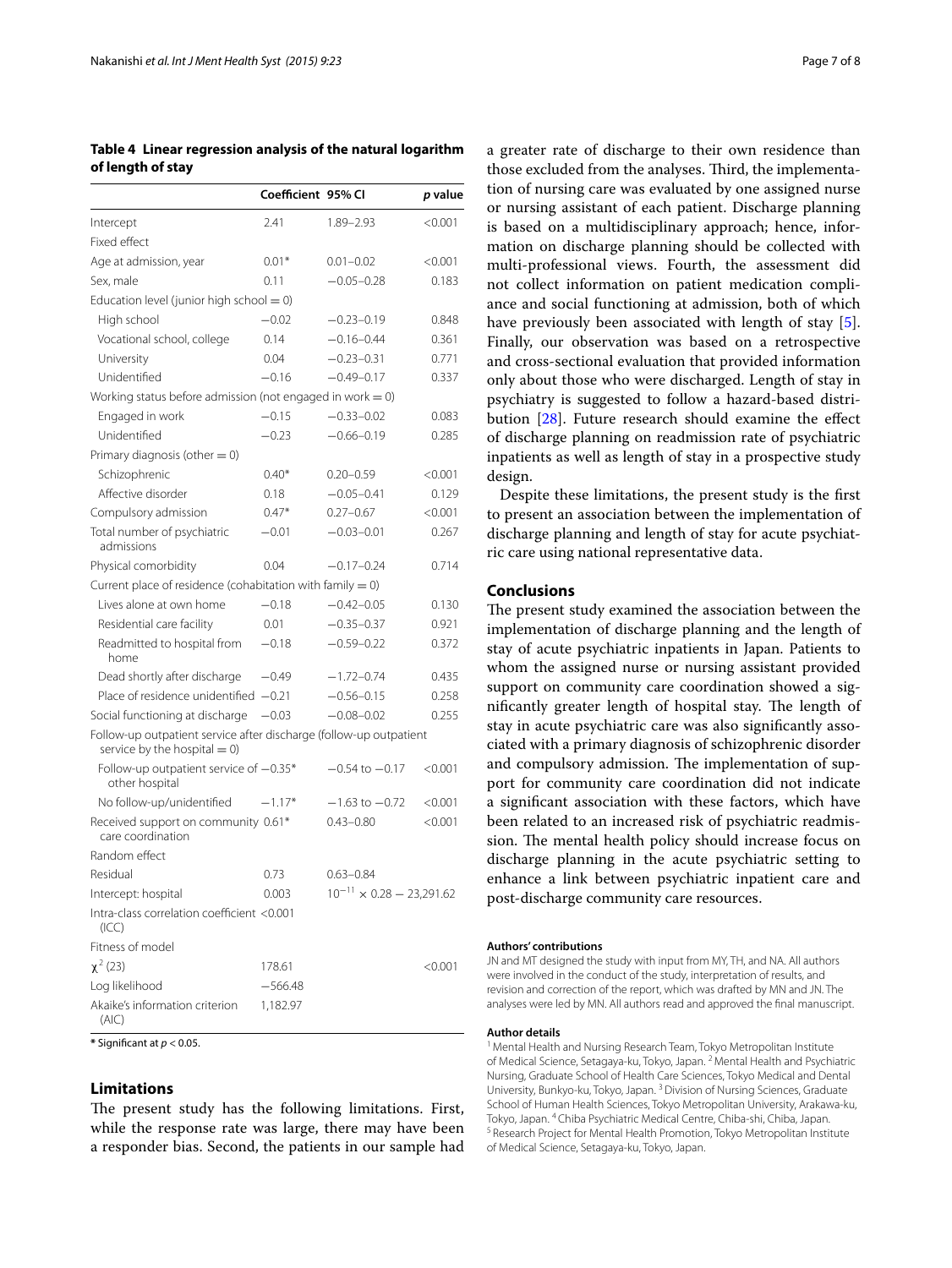<span id="page-6-0"></span>**Table 4 Linear regression analysis of the natural logarithm of length of stay**

|                                                                                                       | Coefficient 95% CI |                                    | p value |
|-------------------------------------------------------------------------------------------------------|--------------------|------------------------------------|---------|
| Intercept                                                                                             | 2.41               | 1.89-2.93                          | < 0.001 |
| Fixed effect                                                                                          |                    |                                    |         |
| Age at admission, year                                                                                | $0.01*$            | $0.01 - 0.02$                      | < 0.001 |
| Sex. male                                                                                             | 0.11               | $-0.05 - 0.28$                     | 0.183   |
| Education level (junior high school $= 0$ )                                                           |                    |                                    |         |
| High school                                                                                           | $-0.02$            | $-0.23 - 0.19$                     | 0.848   |
| Vocational school, college                                                                            | 0.14               | $-0.16 - 0.44$                     | 0.361   |
| University                                                                                            | 0.04               | $-0.23 - 0.31$                     | 0.771   |
| Unidentified                                                                                          | $-0.16$            | $-0.49 - 0.17$                     | 0.337   |
| Working status before admission (not engaged in work $= 0$ )                                          |                    |                                    |         |
| Engaged in work                                                                                       | $-0.15$            | $-0.33 - 0.02$                     | 0.083   |
| Unidentified                                                                                          | $-0.23$            | $-0.66 - 0.19$                     | 0.285   |
| Primary diagnosis (other $= 0$ )                                                                      |                    |                                    |         |
| Schizophrenic                                                                                         | $0.40*$            | $0.20 - 0.59$                      | < 0.001 |
| Affective disorder                                                                                    | 0.18               | $-0.05 - 0.41$                     | 0.129   |
| Compulsory admission                                                                                  | $0.47*$            | $0.27 - 0.67$                      | < 0.001 |
| Total number of psychiatric<br>admissions                                                             | $-0.01$            | $-0.03 - 0.01$                     | 0.267   |
| Physical comorbidity                                                                                  | 0.04               | $-0.17 - 0.24$                     | 0.714   |
| Current place of residence (cohabitation with family $= 0$ )                                          |                    |                                    |         |
| Lives alone at own home                                                                               | $-0.18$            | $-0.42 - 0.05$                     | 0.130   |
| Residential care facility                                                                             | 0.01               | $-0.35 - 0.37$                     | 0.921   |
| Readmitted to hospital from<br>home                                                                   | $-0.18$            | $-0.59 - 0.22$                     | 0.372   |
| Dead shortly after discharge                                                                          | $-0.49$            | $-1.72 - 0.74$                     | 0.435   |
| Place of residence unidentified -0.21                                                                 |                    | $-0.56 - 0.15$                     | 0.258   |
| Social functioning at discharge                                                                       | $-0.03$            | $-0.08 - 0.02$                     | 0.255   |
| Follow-up outpatient service after discharge (follow-up outpatient<br>service by the hospital $= 0$ ) |                    |                                    |         |
| Follow-up outpatient service of $-0.35*$<br>other hospital                                            |                    | $-0.54$ to $-0.17$                 | < 0.001 |
| No follow-up/unidentified                                                                             | $-1.17*$           | $-1.63$ to $-0.72$                 | < 0.001 |
| Received support on community 0.61*<br>care coordination                                              |                    | $0.43 - 0.80$                      | < 0.001 |
| Random effect                                                                                         |                    |                                    |         |
| Residual                                                                                              | 0.73               | $0.63 - 0.84$                      |         |
| Intercept: hospital                                                                                   | 0.003              | $10^{-11} \times 0.28 - 23,291.62$ |         |
| Intra-class correlation coefficient <0.001<br>(ICC)                                                   |                    |                                    |         |
| Fitness of model                                                                                      |                    |                                    |         |
| $\chi^2$ (23)                                                                                         | 178.61             |                                    | < 0.001 |
| Log likelihood                                                                                        | —566.48            |                                    |         |
| Akaike's information criterion<br>(AIC)                                                               | 1,182.97           |                                    |         |

**\*** Significant at *p* < 0.05.

## **Limitations**

The present study has the following limitations. First, while the response rate was large, there may have been a responder bias. Second, the patients in our sample had

a greater rate of discharge to their own residence than those excluded from the analyses. Third, the implementation of nursing care was evaluated by one assigned nurse or nursing assistant of each patient. Discharge planning is based on a multidisciplinary approach; hence, information on discharge planning should be collected with multi-professional views. Fourth, the assessment did not collect information on patient medication compliance and social functioning at admission, both of which have previously been associated with length of stay [\[5](#page-7-4)]. Finally, our observation was based on a retrospective and cross-sectional evaluation that provided information only about those who were discharged. Length of stay in psychiatry is suggested to follow a hazard-based distribution [\[28\]](#page-7-27). Future research should examine the effect of discharge planning on readmission rate of psychiatric inpatients as well as length of stay in a prospective study design.

Despite these limitations, the present study is the first to present an association between the implementation of discharge planning and length of stay for acute psychiatric care using national representative data.

#### **Conclusions**

The present study examined the association between the implementation of discharge planning and the length of stay of acute psychiatric inpatients in Japan. Patients to whom the assigned nurse or nursing assistant provided support on community care coordination showed a significantly greater length of hospital stay. The length of stay in acute psychiatric care was also significantly associated with a primary diagnosis of schizophrenic disorder and compulsory admission. The implementation of support for community care coordination did not indicate a significant association with these factors, which have been related to an increased risk of psychiatric readmission. The mental health policy should increase focus on discharge planning in the acute psychiatric setting to enhance a link between psychiatric inpatient care and post-discharge community care resources.

#### **Authors' contributions**

JN and MT designed the study with input from MY, TH, and NA. All authors were involved in the conduct of the study, interpretation of results, and revision and correction of the report, which was drafted by MN and JN. The analyses were led by MN. All authors read and approved the final manuscript.

#### **Author details**

<sup>1</sup> Mental Health and Nursing Research Team, Tokyo Metropolitan Institute of Medical Science, Setagaya-ku, Tokyo, Japan. 2 Mental Health and Psychiatric Nursing, Graduate School of Health Care Sciences, Tokyo Medical and Dental University, Bunkyo-ku, Tokyo, Japan. 3 Division of Nursing Sciences, Graduate School of Human Health Sciences, Tokyo Metropolitan University, Arakawa-ku, Tokyo, Japan. <sup>4</sup> Chiba Psychiatric Medical Centre, Chiba-shi, Chiba, Japan.<br><sup>5</sup> Research Project for Mental Health Promotion, Tokyo Metropolitan Institute of Medical Science, Setagaya-ku, Tokyo, Japan.